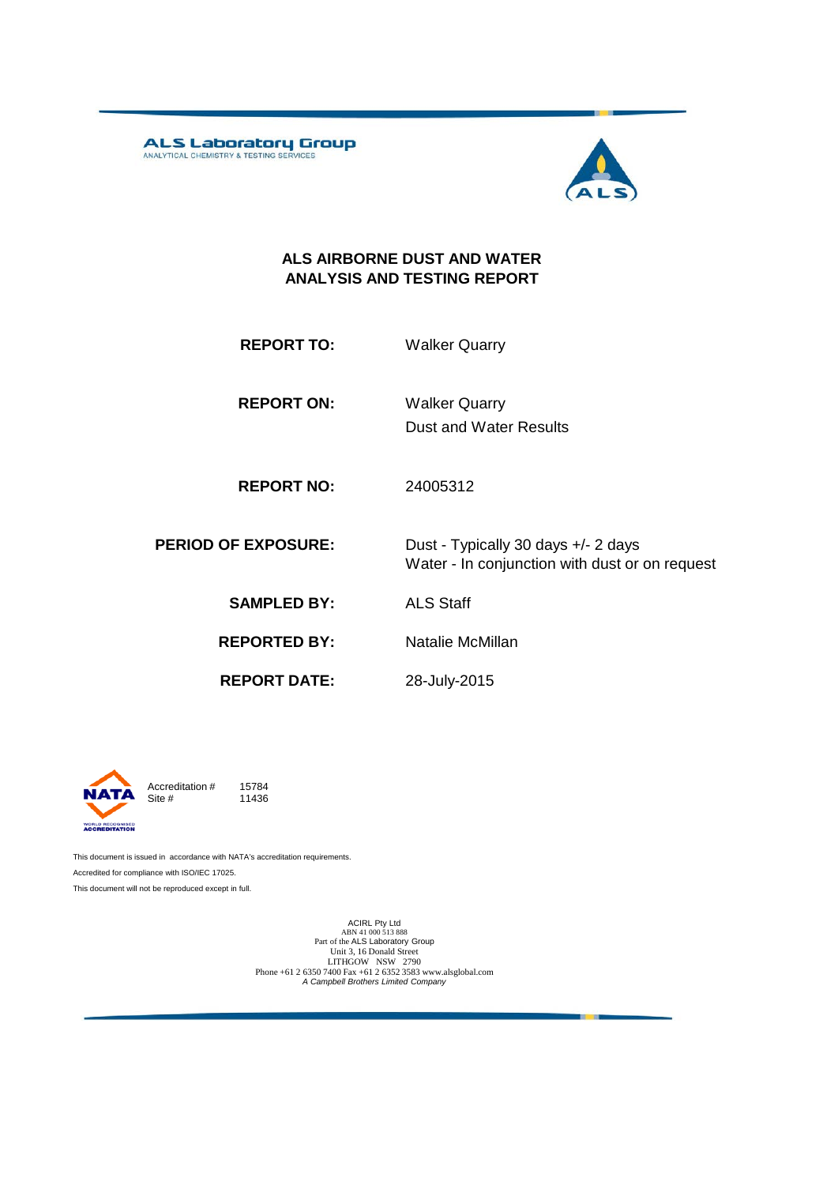ALS Laboratory Group



#### **ALS AIRBORNE DUST AND WATER ANALYSIS AND TESTING REPORT**

| <b>REPORT TO:</b> | <b>Walker Quarry</b> |
|-------------------|----------------------|
|                   |                      |

**REPORT ON:** Dust and Water Results Walker Quarry

**REPORT NO:** 24005312

**PERIOD OF EXPOSURE:** Dust - Typically 30 days +/- 2 days Water - In conjunction with dust or on request

**SAMPLED BY:** ALS Staff

**REPORTED BY:** Natalie McMillan

**REPORT DATE:**

28-July-2015



Accreditation  $\#$  15784<br>Site  $\#$  11436 11436

This document is issued in accordance with NATA's accreditation requirements. Accredited for compliance with ISO/IEC 17025. This document will not be reproduced except in full.

> ACIRL Pty Ltd<br>ABN 41 000 513 888<br>Part of the ALS Laboratory Group Unit 3, 16 Donald Street LITHGOW NSW 2790 Phone +61 2 6350 7400 Fax +61 2 6352 3583 www.alsglobal.com *A Campbell Brothers Limited Company*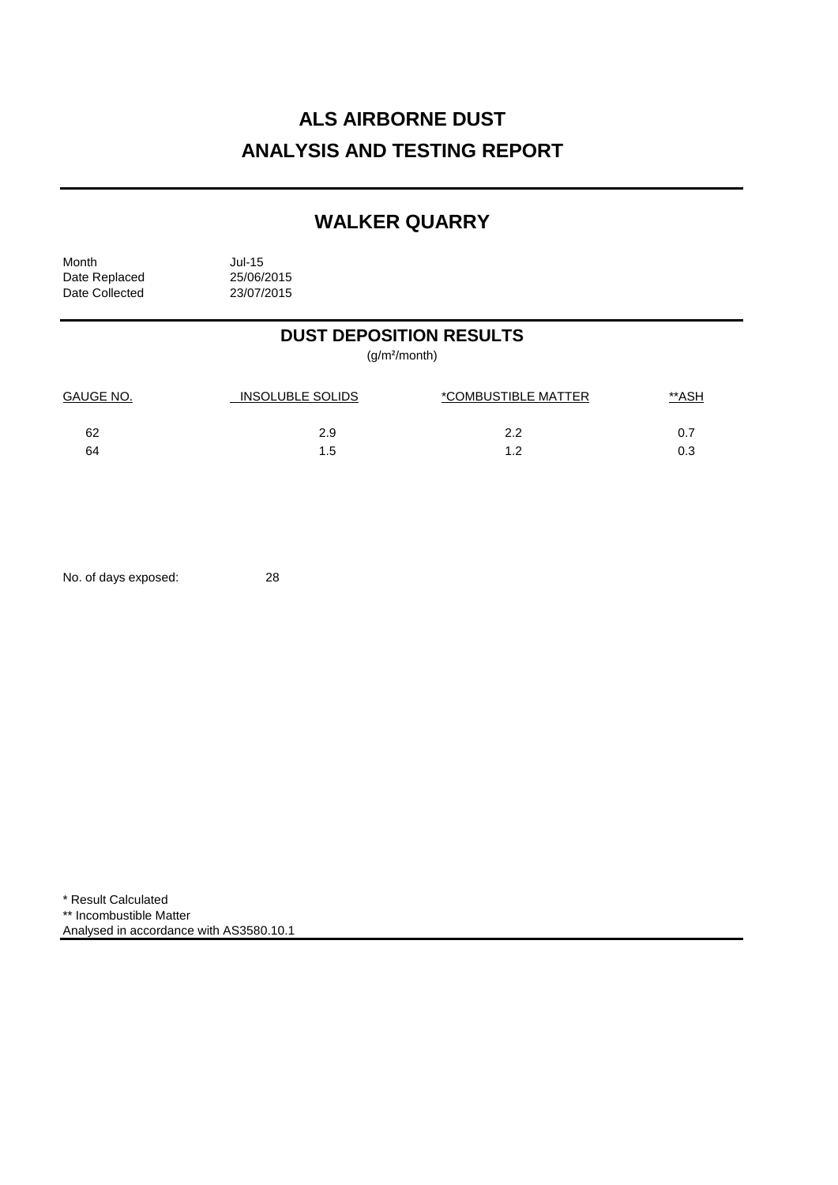# **ALS AIRBORNE DUST ANALYSIS AND TESTING REPORT**

## **WALKER QUARRY**

Month Jul-15<br>Date Replaced 25/06/2015 Date Replaced 25/06/2015<br>Date Collected 23/07/2015 Date Collected

## **DUST DEPOSITION RESULTS**

(g/m²/month)

| <b>GAUGE NO.</b> | INSOLUBLE SOLIDS | *COMBUSTIBLE MATTER | <u>**ASH</u> |
|------------------|------------------|---------------------|--------------|
| 62               | 2.9              | 2.2                 | 0.7          |
| 64               | 1.5              | ィっ                  | 0.3          |

No. of days exposed: 28

\* Result Calculated \*\* Incombustible Matter Analysed in accordance with AS3580.10.1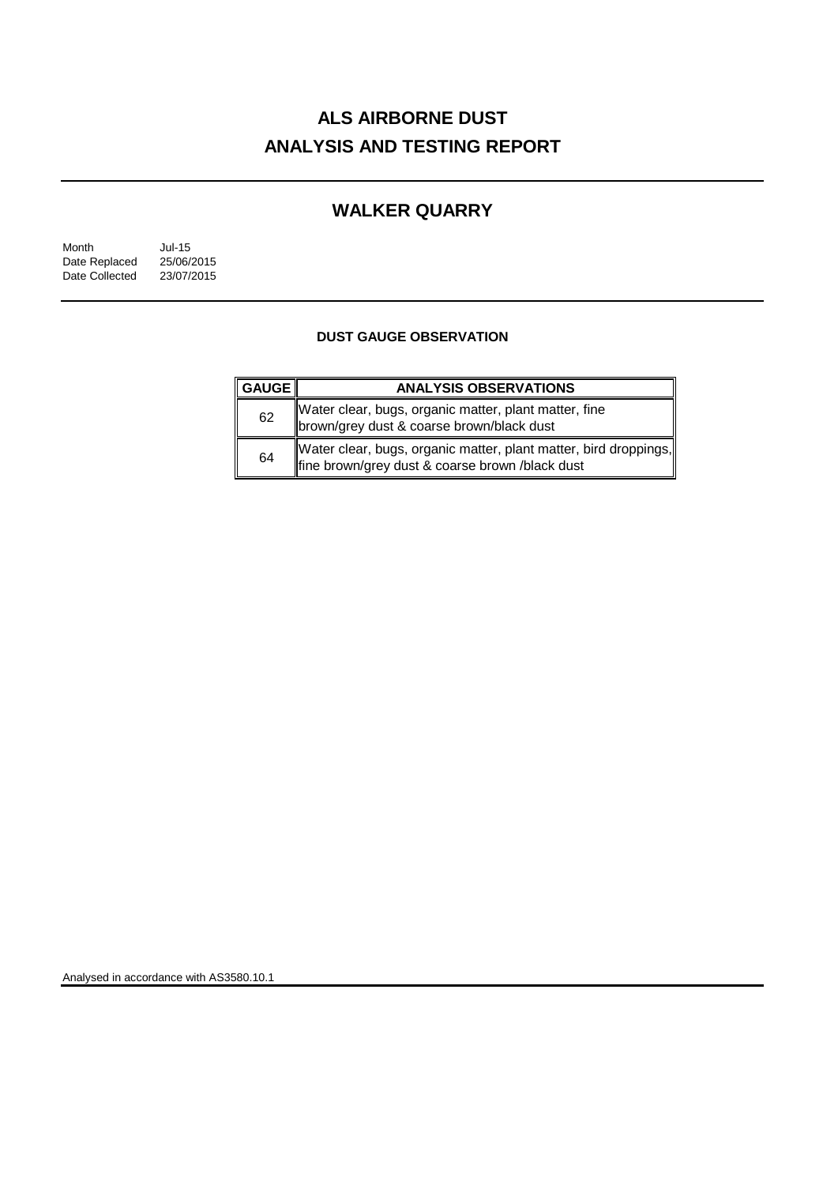# **ALS AIRBORNE DUST ANALYSIS AND TESTING REPORT**

## **WALKER QUARRY**

| Month          | $Jul-15$   |
|----------------|------------|
| Date Replaced  | 25/06/2015 |
| Date Collected | 23/07/2015 |

### **DUST GAUGE OBSERVATION**

| <u>  </u> GAUGE | <b>ANALYSIS OBSERVATIONS</b>                                                                                        |
|-----------------|---------------------------------------------------------------------------------------------------------------------|
| 62              | Water clear, bugs, organic matter, plant matter, fine<br>brown/grey dust & coarse brown/black dust                  |
| 64              | Water clear, bugs, organic matter, plant matter, bird droppings,<br>fine brown/grey dust & coarse brown /black dust |

Analysed in accordance with AS3580.10.1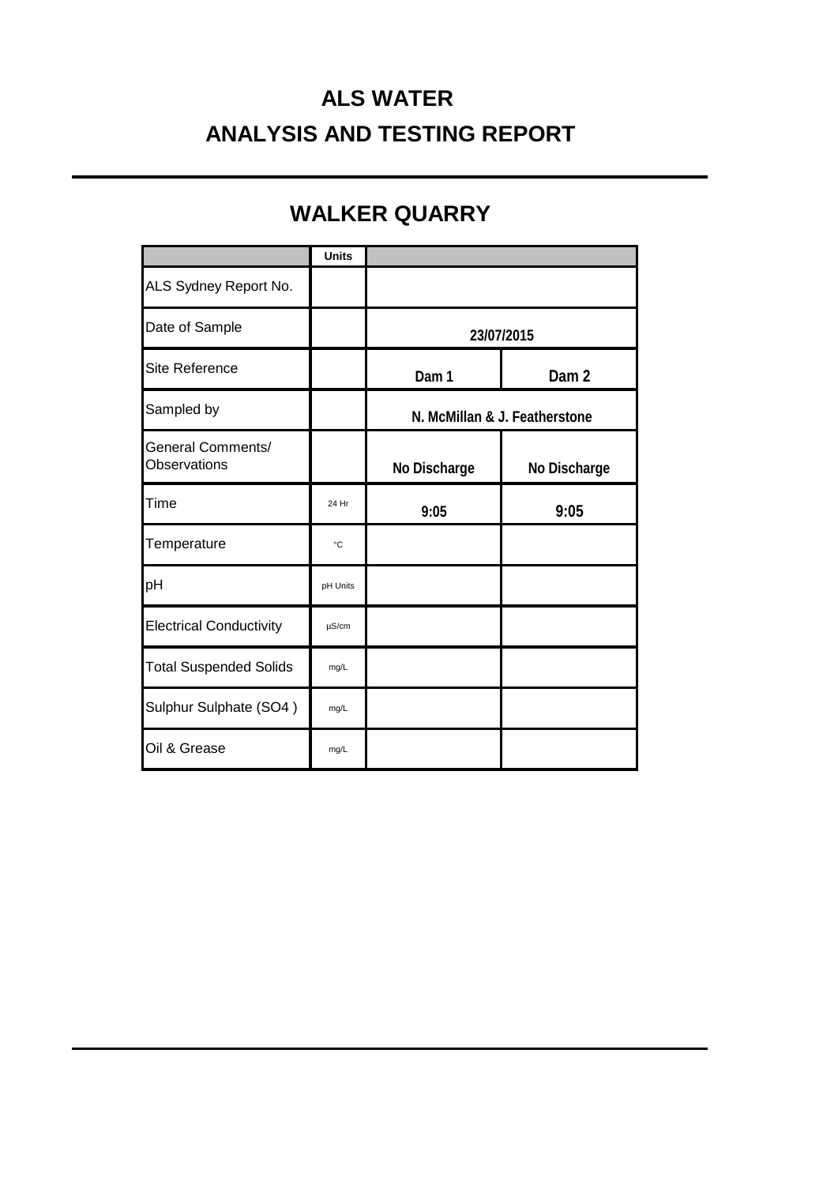# **ALS WATER ANALYSIS AND TESTING REPORT**

# **WALKER QUARRY**

|                                                 | <b>Units</b> |                               |                  |
|-------------------------------------------------|--------------|-------------------------------|------------------|
| ALS Sydney Report No.                           |              |                               |                  |
| Date of Sample                                  |              | 23/07/2015                    |                  |
| Site Reference                                  |              | Dam 1                         | Dam <sub>2</sub> |
| Sampled by                                      |              | N. McMillan & J. Featherstone |                  |
| <b>General Comments/</b><br><b>Observations</b> |              | No Discharge                  | No Discharge     |
| Time                                            | 24 Hr        | 9:05                          | 9:05             |
| Temperature                                     | °C           |                               |                  |
| pH                                              | pH Units     |                               |                  |
| <b>Electrical Conductivity</b>                  | $\mu$ S/cm   |                               |                  |
| <b>Total Suspended Solids</b>                   | mg/L         |                               |                  |
| Sulphur Sulphate (SO4)                          | mg/L         |                               |                  |
| Oil & Grease                                    | mg/L         |                               |                  |